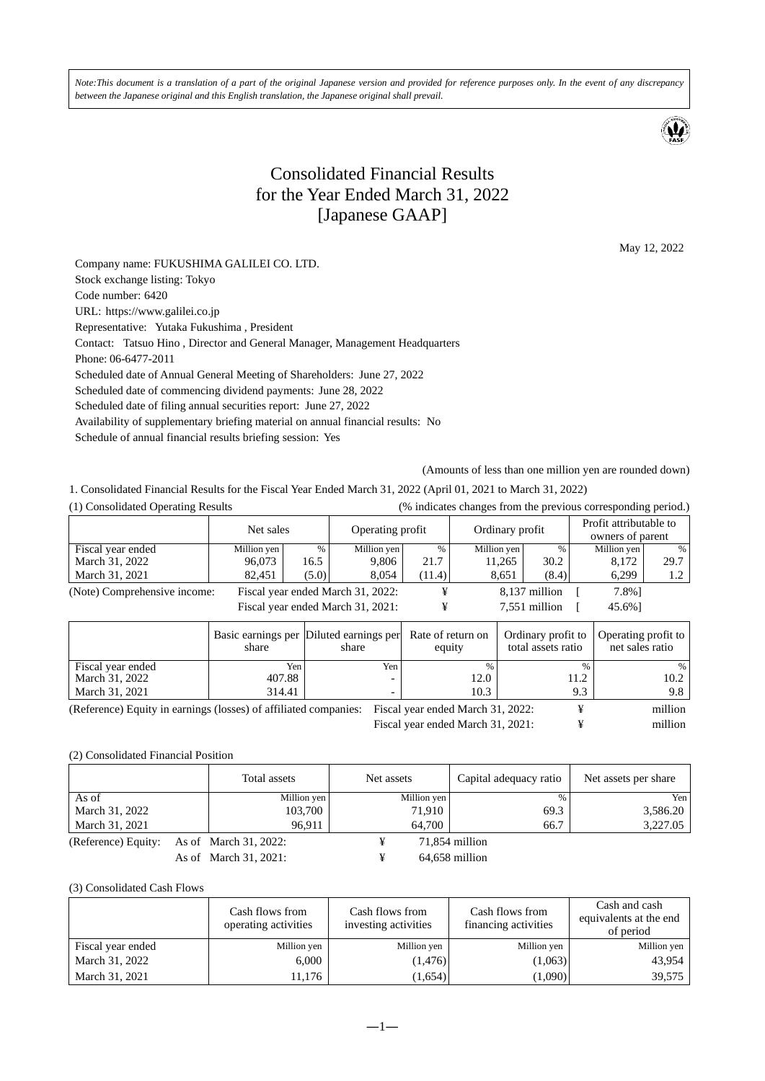*Note:This document is a translation of a part of the original Japanese version and provided for reference purposes only. In the event of any discrepancy between the Japanese original and this English translation, the Japanese original shall prevail.* 



## Consolidated Financial Results for the Year Ended March 31, 2022 [Japanese GAAP]

May 12, 2022

Company name: FUKUSHIMA GALILEI CO. LTD. Stock exchange listing: Tokyo Code number: 6420 URL: https://www.galilei.co.jp Representative: Yutaka Fukushima , President Contact: Tatsuo Hino , Director and General Manager, Management Headquarters Phone: 06-6477-2011 Scheduled date of Annual General Meeting of Shareholders: June 27, 2022 Scheduled date of commencing dividend payments: June 28, 2022 Scheduled date of filing annual securities report: June 27, 2022 Availability of supplementary briefing material on annual financial results: No Schedule of annual financial results briefing session: Yes

(Amounts of less than one million yen are rounded down)

1. Consolidated Financial Results for the Fiscal Year Ended March 31, 2022 (April 01, 2021 to March 31, 2022)

| (1) Consolidated Operating Results | (% indicates changes from the previous corresponding period.) |  |
|------------------------------------|---------------------------------------------------------------|--|
|                                    |                                                               |  |
|                                    |                                                               |  |

|                              | Net sales   |                                   | Operating profit |        | Ordinary profit |               | Profit attributable to<br>owners of parent |      |
|------------------------------|-------------|-----------------------------------|------------------|--------|-----------------|---------------|--------------------------------------------|------|
| Fiscal year ended            | Million yen | %                                 | Million yen      | %      | Million yen     | $\%$          | Million yen                                | $\%$ |
| March 31, 2022               | 96,073      | 16.5                              | 9,806            | 21.7   | 11,265          | 30.2          | 8,172                                      | 29.7 |
| March 31, 2021               | 82,451      | (5.0)                             | 8,054            | (11.4) | 8,651           | (8.4)         | 6,299                                      | 1.2  |
| (Note) Comprehensive income: |             | Fiscal year ended March 31, 2022: |                  |        |                 | 8,137 million | 7.8%]                                      |      |
|                              |             | Fiscal year ended March 31, 2021: |                  |        |                 | 7,551 million | 45.6%]                                     |      |

|                                                                                                    | share  | Basic earnings per Diluted earnings per<br>share | Rate of return on<br>equity | Ordinary profit to<br>total assets ratio | Operating profit to<br>net sales ratio |
|----------------------------------------------------------------------------------------------------|--------|--------------------------------------------------|-----------------------------|------------------------------------------|----------------------------------------|
| Fiscal year ended                                                                                  | Yen.   | Yen i                                            | 0/                          |                                          |                                        |
| March 31, 2022                                                                                     | 407.88 |                                                  | 12.0                        | 11.2                                     | 10.2                                   |
| March 31, 2021                                                                                     | 314.41 |                                                  | 10.3                        | 9.3                                      | 9.8                                    |
| (Reference) Equity in earnings (losses) of affiliated companies: Fiscal year ended March 31, 2022: |        |                                                  |                             |                                          | million                                |

Fiscal year ended March 31, 2021:  $\qquad \qquad \text{9}$  million

(2) Consolidated Financial Position

|                     | Total assets          | Net assets |             | Capital adequacy ratio | Net assets per share |
|---------------------|-----------------------|------------|-------------|------------------------|----------------------|
| As of               | Million yen           |            | Million yen | $\%$                   | Yen l                |
| March 31, 2022      | 103,700               |            | 71,910      | 69.3                   | 3,586.20             |
| March 31, 2021      | 96.911                |            | 64.700      | 66.7                   | 3,227.05             |
| (Reference) Equity: | As of March 31, 2022: |            |             | 71,854 million         |                      |
|                     | As of March 31, 2021: |            |             | $64,658$ million       |                      |

(3) Consolidated Cash Flows

|                   | Cash flows from<br>operating activities | Cash flows from<br>investing activities | Cash flows from<br>financing activities | Cash and cash<br>equivalents at the end<br>of period |
|-------------------|-----------------------------------------|-----------------------------------------|-----------------------------------------|------------------------------------------------------|
| Fiscal year ended | Million yen                             | Million yen                             | Million yen                             | Million yen                                          |
| March 31, 2022    | 6.000                                   | (1, 476)                                | (1,063)                                 | 43.954                                               |
| March 31, 2021    | !1,176                                  | (1,654)                                 | (1,090)                                 | 39,575                                               |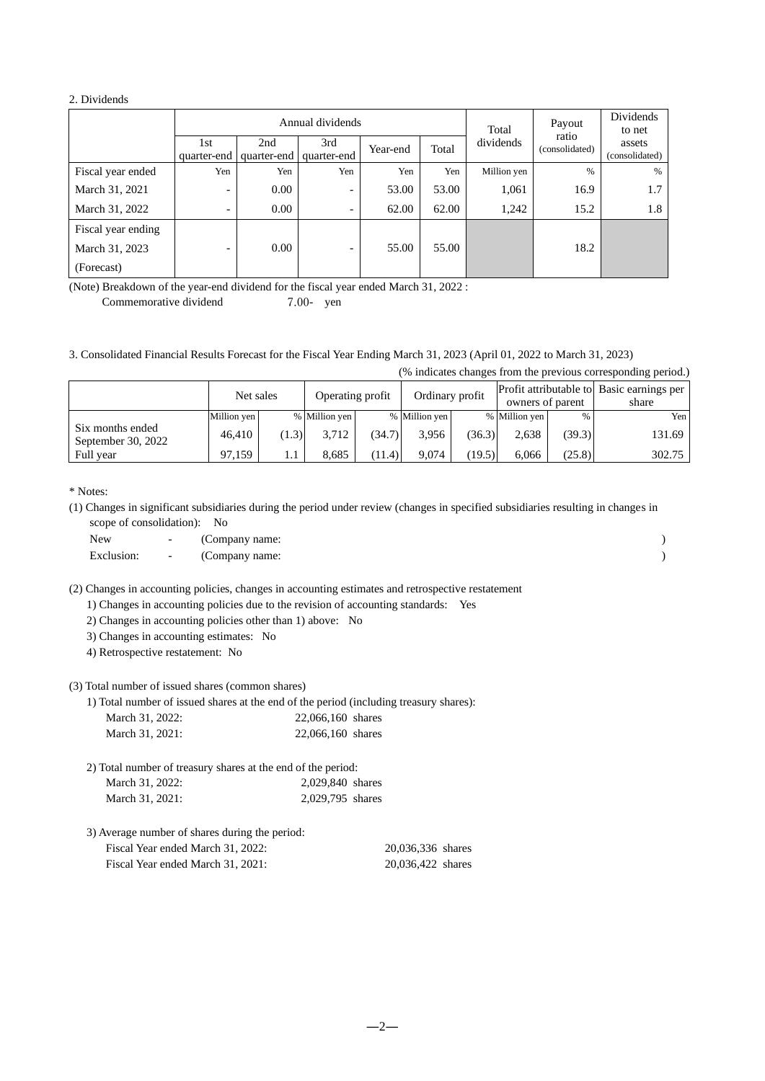#### 2. Dividends

|                    |                          |                    | Annual dividends         | Total    | Payout | Dividends<br>to net |                         |                          |
|--------------------|--------------------------|--------------------|--------------------------|----------|--------|---------------------|-------------------------|--------------------------|
|                    | 1st<br>quarter-end       | 2nd<br>quarter-end | 3rd<br>quarter-end       | Year-end | Total  | dividends           | ratio<br>(consolidated) | assets<br>(consolidated) |
| Fiscal year ended  | Yen                      | Yen                | Yen                      | Yen      | Yen    | Million yen         | $\%$                    | %                        |
| March 31, 2021     | $\qquad \qquad$          | 0.00               | -                        | 53.00    | 53.00  | 1,061               | 16.9                    | 1.7                      |
| March 31, 2022     | -                        | 0.00               | $\overline{\phantom{0}}$ | 62.00    | 62.00  | 1,242               | 15.2                    | 1.8                      |
| Fiscal year ending |                          |                    |                          |          |        |                     |                         |                          |
| March 31, 2023     | $\overline{\phantom{0}}$ | 0.00               | -                        | 55.00    | 55.00  |                     | 18.2                    |                          |
| (Forecast)         |                          |                    |                          |          |        |                     |                         |                          |

(Note) Breakdown of the year-end dividend for the fiscal year ended March 31, 2022 :

Commemorative dividend 7.00- yen

3. Consolidated Financial Results Forecast for the Fiscal Year Ending March 31, 2023 (April 01, 2022 to March 31, 2023)

(% indicates changes from the previous corresponding period.)

|                                        | Net sales   |       | Operating profit |        | Ordinary profit |        | Profit attributable to Basic earnings per<br>owners of parent |        | share  |
|----------------------------------------|-------------|-------|------------------|--------|-----------------|--------|---------------------------------------------------------------|--------|--------|
|                                        | Million yen |       | % Million yen    |        | % Million yen   |        | % Million yen                                                 | $\%$   | Yen    |
| Six months ended<br>September 30, 2022 | 46.410      | (1.3) | 3.712            | (34.7) | 3.956           | (36.3) | 2,638                                                         | (39.3) | 131.69 |
| Full vear                              | 97.159      |       | 8.685            | (11.4) | 9.074           | (19.5) | 6.066                                                         | (25.8) | 302.75 |

\* Notes:

(1) Changes in significant subsidiaries during the period under review (changes in specified subsidiaries resulting in changes in scope of consolidation): No

New  $\qquad \qquad -$  (Company name: ) Exclusion:  $\qquad \qquad - \qquad \qquad \text{(Comparing) }$ 

(2) Changes in accounting policies, changes in accounting estimates and retrospective restatement

1) Changes in accounting policies due to the revision of accounting standards: Yes

2) Changes in accounting policies other than 1) above: No

3) Changes in accounting estimates: No

4) Retrospective restatement: No

(3) Total number of issued shares (common shares)

1) Total number of issued shares at the end of the period (including treasury shares):

| March 31, 2022: | 22,066,160 shares |
|-----------------|-------------------|
| March 31, 2021: | 22,066,160 shares |

| 2) Total number of treasury shares at the end of the period: |                  |
|--------------------------------------------------------------|------------------|
| March 31, 2022:                                              | 2,029,840 shares |
| March 31, 2021:                                              | 2,029,795 shares |

| 3) Average number of shares during the period: |                   |
|------------------------------------------------|-------------------|
| Fiscal Year ended March 31, 2022:              | 20,036,336 shares |
| Fiscal Year ended March 31, 2021:              | 20,036,422 shares |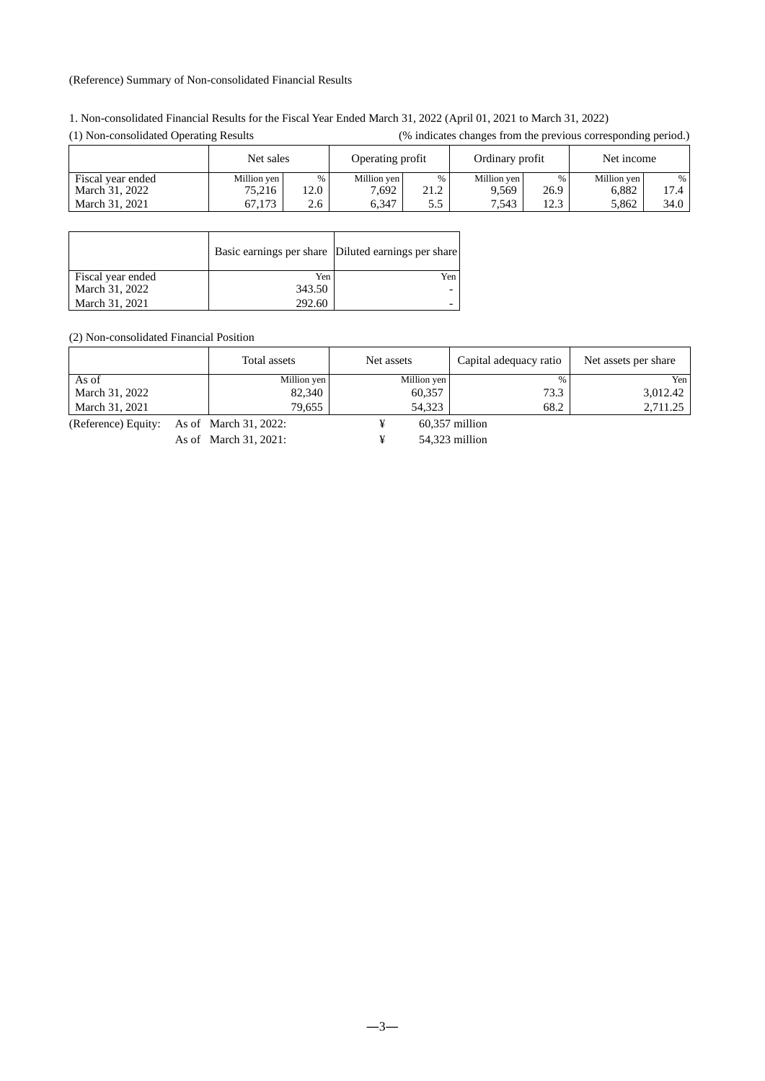#### (Reference) Summary of Non-consolidated Financial Results

| 1. Non-consolidated Financial Results for the Fiscal Year Ended March 31, 2022 (April 01, 2021 to March 31, 2022) |  |
|-------------------------------------------------------------------------------------------------------------------|--|
|-------------------------------------------------------------------------------------------------------------------|--|

| $(1)$ ron consondated operating results |             |      |                  |      | $\alpha$ indicates enanges from the previous corresponding period. |      |             |      |
|-----------------------------------------|-------------|------|------------------|------|--------------------------------------------------------------------|------|-------------|------|
|                                         | Net sales   |      | Operating profit |      | Ordinary profit                                                    |      | Net income  |      |
| Fiscal year ended                       | Million yen | %    | Million yen      | %    | Million yen                                                        |      | Million yen | %    |
| March 31, 2022                          | 75,216      | 12.0 | 7.692            | 21.2 | 9.569                                                              | 26.9 | 6.882       | 17.4 |
| March 31, 2021                          | 67.173      | 2.6  | 6.347            | 5.5  | 7.543                                                              | 12.3 | 5.862       | 34.0 |

| (1) Non-consolidated Operating Results | (% indicates changes from the previous corresponding period.) |
|----------------------------------------|---------------------------------------------------------------|
|----------------------------------------|---------------------------------------------------------------|

|                   |        | Basic earnings per share Diluted earnings per share |
|-------------------|--------|-----------------------------------------------------|
| Fiscal year ended | Yen    | Yen                                                 |
| March 31, 2022    | 343.50 |                                                     |
| March 31, 2021    | 292.60 |                                                     |

(2) Non-consolidated Financial Position

|                | Total assets | Net assets  | Capital adequacy ratio | Net assets per share |  |
|----------------|--------------|-------------|------------------------|----------------------|--|
| As of          | Million yen  | Million yen | %                      | Yen                  |  |
| March 31, 2022 | 82,340       | 60,357      | 73.3                   | 3.012.42             |  |
| March 31, 2021 | 79,655       | 54.323      | 68.2                   | 2,711.25             |  |

(Reference) Equity: As of March 31, 2022:  $\qquad \qquad \text{4}$  60,357 million

As of March 31, 2021:  $\qquad \qquad \text{4}$  54,323 million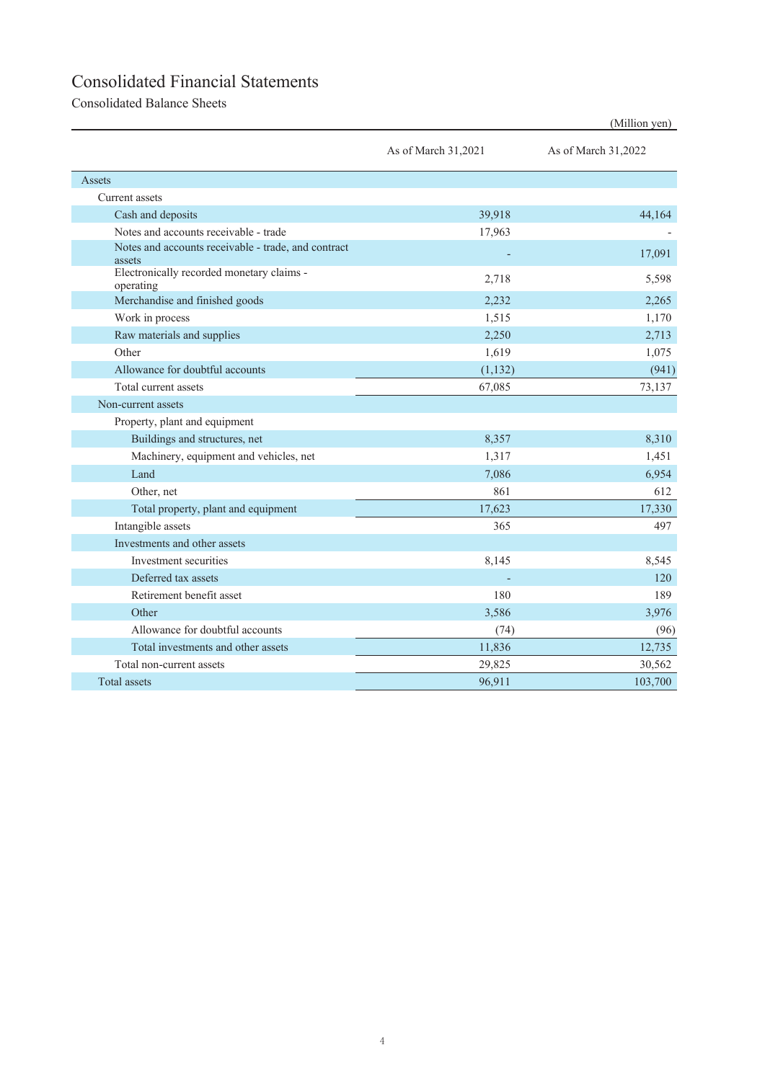# Consolidated Financial Statements

Consolidated Balance Sheets

|                                                               |                     | (Million yen)       |
|---------------------------------------------------------------|---------------------|---------------------|
|                                                               | As of March 31,2021 | As of March 31,2022 |
| Assets                                                        |                     |                     |
| Current assets                                                |                     |                     |
| Cash and deposits                                             | 39,918              | 44,164              |
| Notes and accounts receivable - trade                         | 17,963              |                     |
| Notes and accounts receivable - trade, and contract<br>assets |                     | 17,091              |
| Electronically recorded monetary claims -<br>operating        | 2,718               | 5,598               |
| Merchandise and finished goods                                | 2,232               | 2.265               |
| Work in process                                               | 1,515               | 1,170               |
| Raw materials and supplies                                    | 2,250               | 2,713               |
| Other                                                         | 1,619               | 1,075               |
| Allowance for doubtful accounts                               | (1, 132)            | (941)               |
| Total current assets                                          | 67,085              | 73,137              |
| Non-current assets                                            |                     |                     |
| Property, plant and equipment                                 |                     |                     |
| Buildings and structures, net                                 | 8,357               | 8.310               |
| Machinery, equipment and vehicles, net                        | 1,317               | 1,451               |
| Land                                                          | 7,086               | 6,954               |
| Other, net                                                    | 861                 | 612                 |
| Total property, plant and equipment                           | 17,623              | 17,330              |
| Intangible assets                                             | 365                 | 497                 |
| Investments and other assets                                  |                     |                     |
| Investment securities                                         | 8,145               | 8,545               |
| Deferred tax assets                                           |                     | 120                 |
| Retirement benefit asset                                      | 180                 | 189                 |
| Other                                                         | 3,586               | 3,976               |
| Allowance for doubtful accounts                               | (74)                | (96)                |
| Total investments and other assets                            | 11,836              | 12,735              |
| Total non-current assets                                      | 29,825              | 30,562              |
| Total assets                                                  | 96,911              | 103,700             |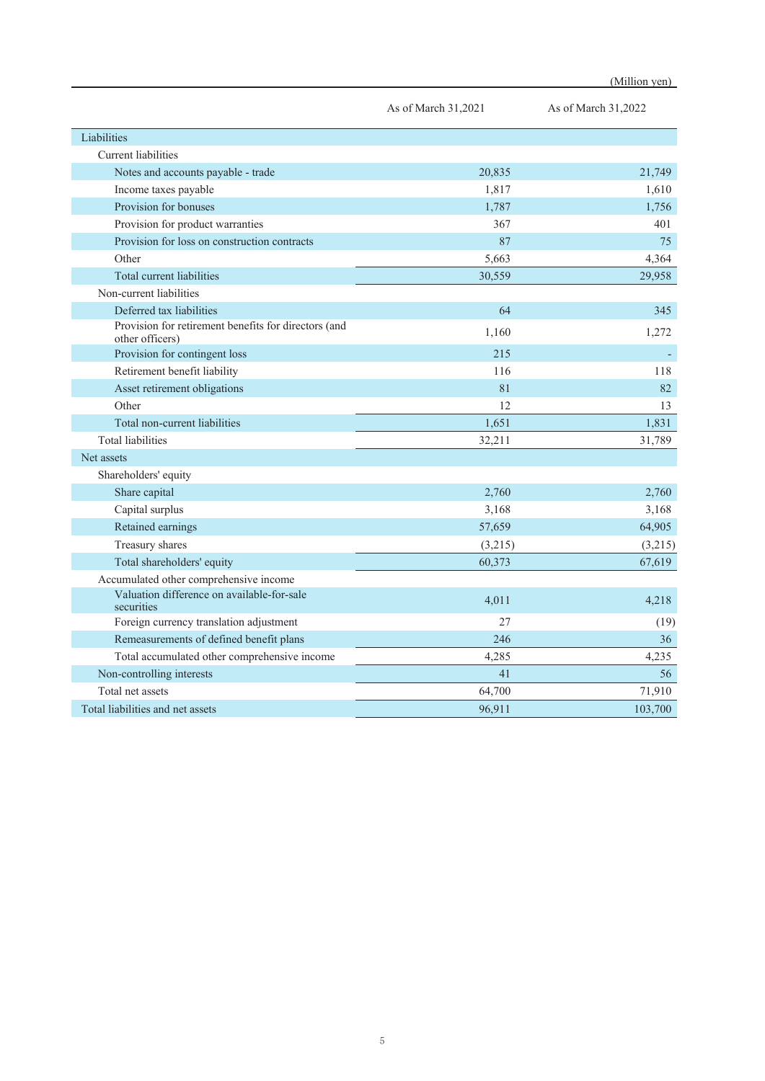|                                                                         | As of March 31,2021 | As of March 31,2022 |
|-------------------------------------------------------------------------|---------------------|---------------------|
| Liabilities                                                             |                     |                     |
| Current liabilities                                                     |                     |                     |
| Notes and accounts payable - trade                                      | 20,835              | 21,749              |
| Income taxes payable                                                    | 1,817               | 1,610               |
| Provision for bonuses                                                   | 1,787               | 1,756               |
| Provision for product warranties                                        | 367                 | 401                 |
| Provision for loss on construction contracts                            | 87                  | 75                  |
| Other                                                                   | 5,663               | 4,364               |
| Total current liabilities                                               | 30,559              | 29,958              |
| Non-current liabilities                                                 |                     |                     |
| Deferred tax liabilities                                                | 64                  | 345                 |
| Provision for retirement benefits for directors (and<br>other officers) | 1,160               | 1,272               |
| Provision for contingent loss                                           | 215                 |                     |
| Retirement benefit liability                                            | 116                 | 118                 |
| Asset retirement obligations                                            | 81                  | 82                  |
| Other                                                                   | 12                  | 13                  |
| Total non-current liabilities                                           | 1,651               | 1,831               |
| <b>Total liabilities</b>                                                | 32,211              | 31,789              |
| Net assets                                                              |                     |                     |
| Shareholders' equity                                                    |                     |                     |
| Share capital                                                           | 2,760               | 2,760               |
| Capital surplus                                                         | 3,168               | 3,168               |
| Retained earnings                                                       | 57,659              | 64,905              |
| Treasury shares                                                         | (3,215)             | (3,215)             |
| Total shareholders' equity                                              | 60,373              | 67,619              |
| Accumulated other comprehensive income                                  |                     |                     |
| Valuation difference on available-for-sale<br>securities                | 4,011               | 4,218               |
| Foreign currency translation adjustment                                 | 27                  | (19)                |
| Remeasurements of defined benefit plans                                 | 246                 | 36                  |
| Total accumulated other comprehensive income                            | 4,285               | 4,235               |
| Non-controlling interests                                               | 41                  | 56                  |
| Total net assets                                                        | 64,700              | 71,910              |
| Total liabilities and net assets                                        | 96,911              | 103,700             |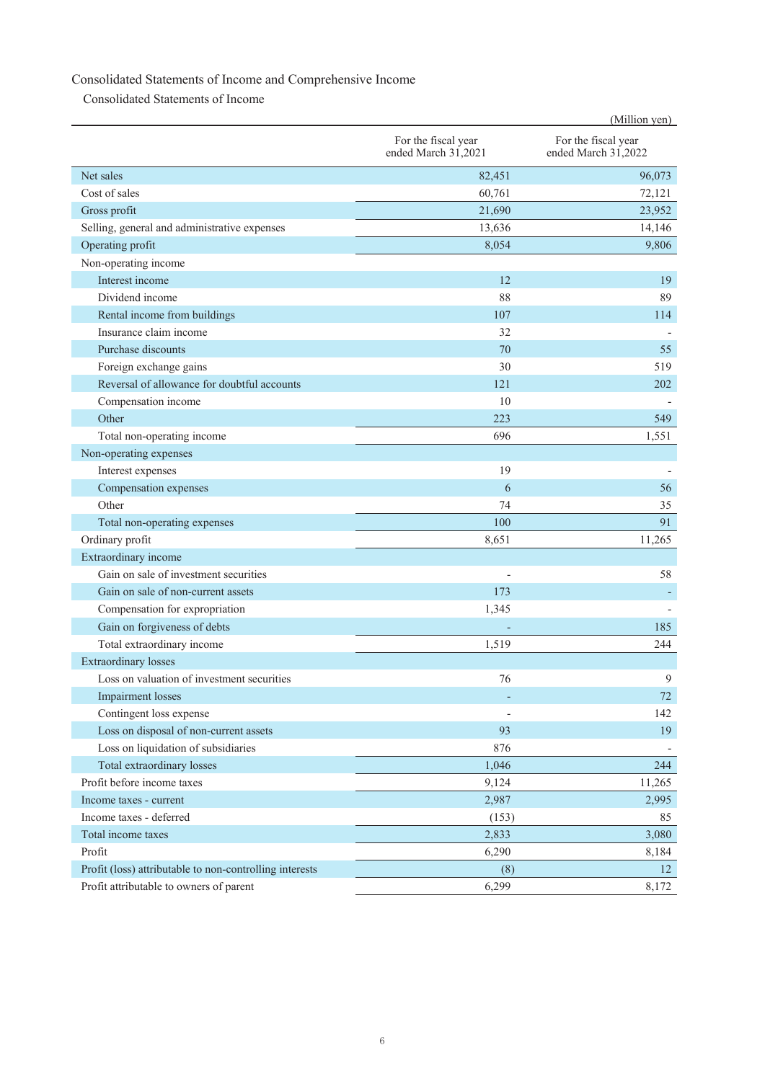### Consolidated Statements of Income and Comprehensive Income

Consolidated Statements of Income

|                                                         |                                            | (Million yen)                              |
|---------------------------------------------------------|--------------------------------------------|--------------------------------------------|
|                                                         | For the fiscal year<br>ended March 31,2021 | For the fiscal year<br>ended March 31,2022 |
| Net sales                                               | 82,451                                     | 96,073                                     |
| Cost of sales                                           | 60,761                                     | 72,121                                     |
| Gross profit                                            | 21,690                                     | 23,952                                     |
| Selling, general and administrative expenses            | 13,636                                     | 14,146                                     |
| Operating profit                                        | 8,054                                      | 9,806                                      |
| Non-operating income                                    |                                            |                                            |
| Interest income                                         | 12                                         | 19                                         |
| Dividend income                                         | 88                                         | 89                                         |
| Rental income from buildings                            | 107                                        | 114                                        |
| Insurance claim income                                  | 32                                         |                                            |
| Purchase discounts                                      | 70                                         | 55                                         |
| Foreign exchange gains                                  | 30                                         | 519                                        |
| Reversal of allowance for doubtful accounts             | 121                                        | 202                                        |
| Compensation income                                     | 10                                         |                                            |
| Other                                                   | 223                                        | 549                                        |
| Total non-operating income                              | 696                                        | 1,551                                      |
| Non-operating expenses                                  |                                            |                                            |
| Interest expenses                                       | 19                                         |                                            |
| Compensation expenses                                   | 6                                          | 56                                         |
| Other                                                   | 74                                         | 35                                         |
| Total non-operating expenses                            | 100                                        | 91                                         |
| Ordinary profit                                         | 8,651                                      | 11,265                                     |
| Extraordinary income                                    |                                            |                                            |
| Gain on sale of investment securities                   |                                            | 58                                         |
| Gain on sale of non-current assets                      | 173                                        |                                            |
| Compensation for expropriation                          | 1,345                                      |                                            |
| Gain on forgiveness of debts                            |                                            | 185                                        |
| Total extraordinary income                              | 1,519                                      | 244                                        |
| <b>Extraordinary losses</b>                             |                                            |                                            |
| Loss on valuation of investment securities              | 76                                         | 9                                          |
| <b>Impairment</b> losses                                |                                            | 72                                         |
| Contingent loss expense                                 |                                            | 142                                        |
| Loss on disposal of non-current assets                  | 93                                         | 19                                         |
| Loss on liquidation of subsidiaries                     | 876                                        |                                            |
| Total extraordinary losses                              | 1,046                                      | 244                                        |
| Profit before income taxes                              | 9,124                                      | 11,265                                     |
| Income taxes - current                                  | 2,987                                      | 2,995                                      |
| Income taxes - deferred                                 | (153)                                      | 85                                         |
| Total income taxes                                      | 2,833                                      | 3,080                                      |
| Profit                                                  | 6,290                                      | 8,184                                      |
| Profit (loss) attributable to non-controlling interests | (8)                                        | 12                                         |
| Profit attributable to owners of parent                 | 6,299                                      | 8,172                                      |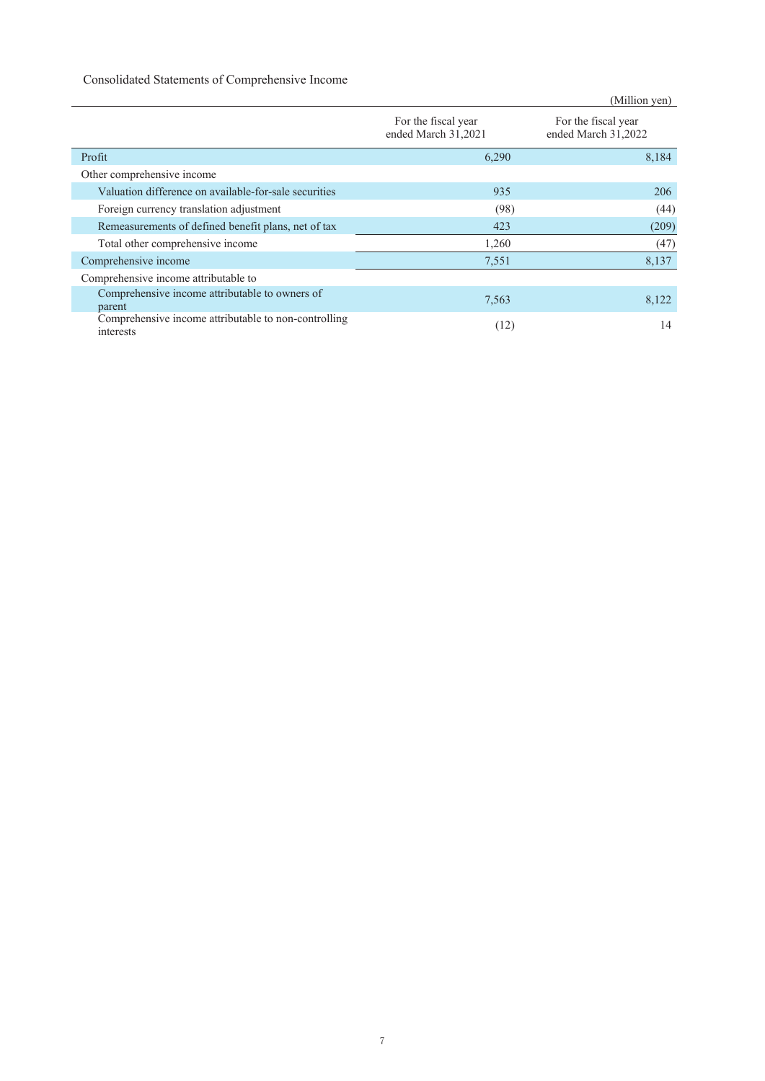### Consolidated Statements of Comprehensive Income

|                                                                   |                                            | (Million yen)                              |
|-------------------------------------------------------------------|--------------------------------------------|--------------------------------------------|
|                                                                   | For the fiscal year<br>ended March 31,2021 | For the fiscal year<br>ended March 31,2022 |
| Profit                                                            | 6.290                                      | 8,184                                      |
| Other comprehensive income                                        |                                            |                                            |
| Valuation difference on available-for-sale securities             | 935                                        | 206                                        |
| Foreign currency translation adjustment                           | (98)                                       | (44)                                       |
| Remeasurements of defined benefit plans, net of tax               | 423                                        | (209)                                      |
| Total other comprehensive income                                  | 1,260                                      | (47)                                       |
| Comprehensive income                                              | 7,551                                      | 8,137                                      |
| Comprehensive income attributable to                              |                                            |                                            |
| Comprehensive income attributable to owners of<br>parent          | 7,563                                      | 8,122                                      |
| Comprehensive income attributable to non-controlling<br>interests | (12)                                       | 14                                         |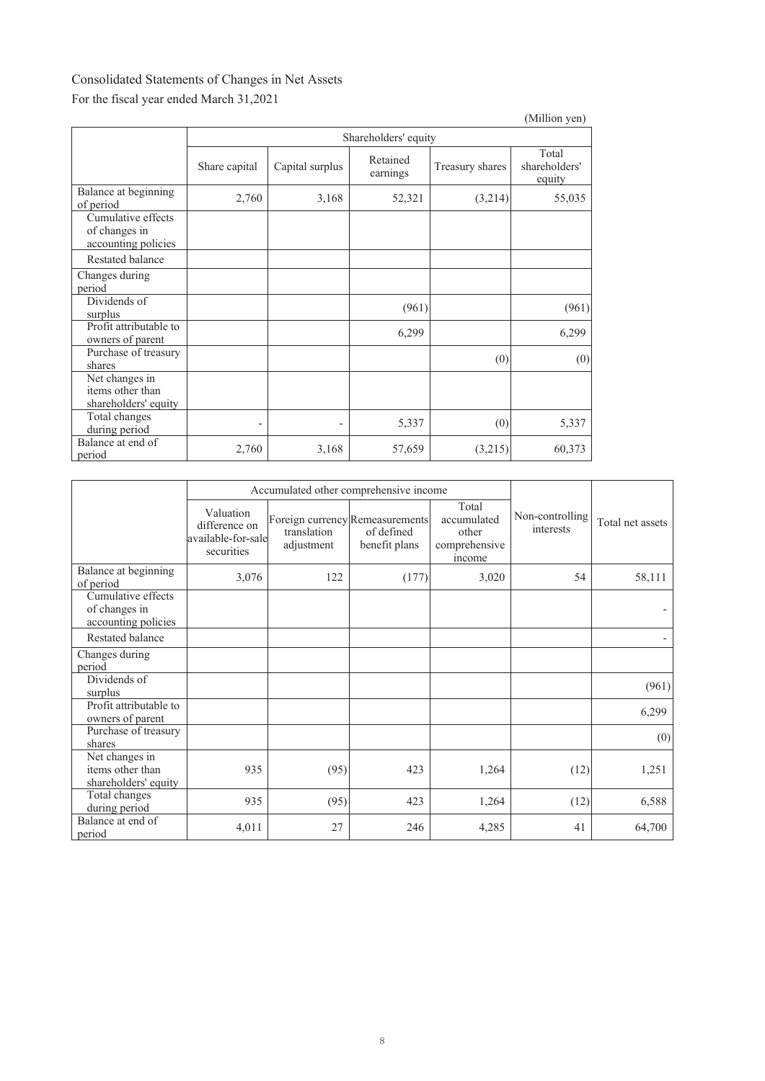### Consolidated Statements of Changes in Net Assets For the fiscal year ended March 31,2021

|                                                            |               |                      |                      |                 | (Million yen)                    |  |  |  |
|------------------------------------------------------------|---------------|----------------------|----------------------|-----------------|----------------------------------|--|--|--|
|                                                            |               | Shareholders' equity |                      |                 |                                  |  |  |  |
|                                                            | Share capital | Capital surplus      | Retained<br>earnings | Treasury shares | Total<br>shareholders'<br>equity |  |  |  |
| Balance at beginning<br>of period                          | 2,760         | 3,168                | 52,321               | (3,214)         | 55,035                           |  |  |  |
| Cumulative effects<br>of changes in<br>accounting policies |               |                      |                      |                 |                                  |  |  |  |
| Restated balance                                           |               |                      |                      |                 |                                  |  |  |  |
| Changes during<br>period                                   |               |                      |                      |                 |                                  |  |  |  |
| Dividends of<br>surplus                                    |               |                      | (961)                |                 | (961)                            |  |  |  |
| Profit attributable to<br>owners of parent                 |               |                      | 6,299                |                 | 6,299                            |  |  |  |
| Purchase of treasury<br>shares                             |               |                      |                      | (0)             | (0)                              |  |  |  |
| Net changes in<br>items other than<br>shareholders' equity |               |                      |                      |                 |                                  |  |  |  |
| Total changes<br>during period                             | -             | $\overline{a}$       | 5,337                | (0)             | 5,337                            |  |  |  |
| Balance at end of<br>period                                | 2,760         | 3,168                | 57,659               | (3,215)         | 60,373                           |  |  |  |

|                                                            |                                                                | Accumulated other comprehensive income |                                                                |                                                          |                              |                  |
|------------------------------------------------------------|----------------------------------------------------------------|----------------------------------------|----------------------------------------------------------------|----------------------------------------------------------|------------------------------|------------------|
|                                                            | Valuation<br>difference on<br>available-for-sale<br>securities | translation<br>adjustment              | Foreign currency Remeasurements<br>of defined<br>benefit plans | Total<br>accumulated<br>other<br>comprehensive<br>income | Non-controlling<br>interests | Total net assets |
| Balance at beginning<br>of period                          | 3,076                                                          | 122                                    | (177)                                                          | 3,020                                                    | 54                           | 58,111           |
| Cumulative effects<br>of changes in<br>accounting policies |                                                                |                                        |                                                                |                                                          |                              |                  |
| Restated balance                                           |                                                                |                                        |                                                                |                                                          |                              |                  |
| Changes during<br>period                                   |                                                                |                                        |                                                                |                                                          |                              |                  |
| Dividends of<br>surplus                                    |                                                                |                                        |                                                                |                                                          |                              | (961)            |
| Profit attributable to<br>owners of parent                 |                                                                |                                        |                                                                |                                                          |                              | 6,299            |
| Purchase of treasury<br>shares                             |                                                                |                                        |                                                                |                                                          |                              | (0)              |
| Net changes in<br>items other than<br>shareholders' equity | 935                                                            | (95)                                   | 423                                                            | 1,264                                                    | (12)                         | 1,251            |
| Total changes<br>during period                             | 935                                                            | (95)                                   | 423                                                            | 1,264                                                    | (12)                         | 6,588            |
| Balance at end of<br>period                                | 4,011                                                          | 27                                     | 246                                                            | 4,285                                                    | 41                           | 64,700           |

(Million yen)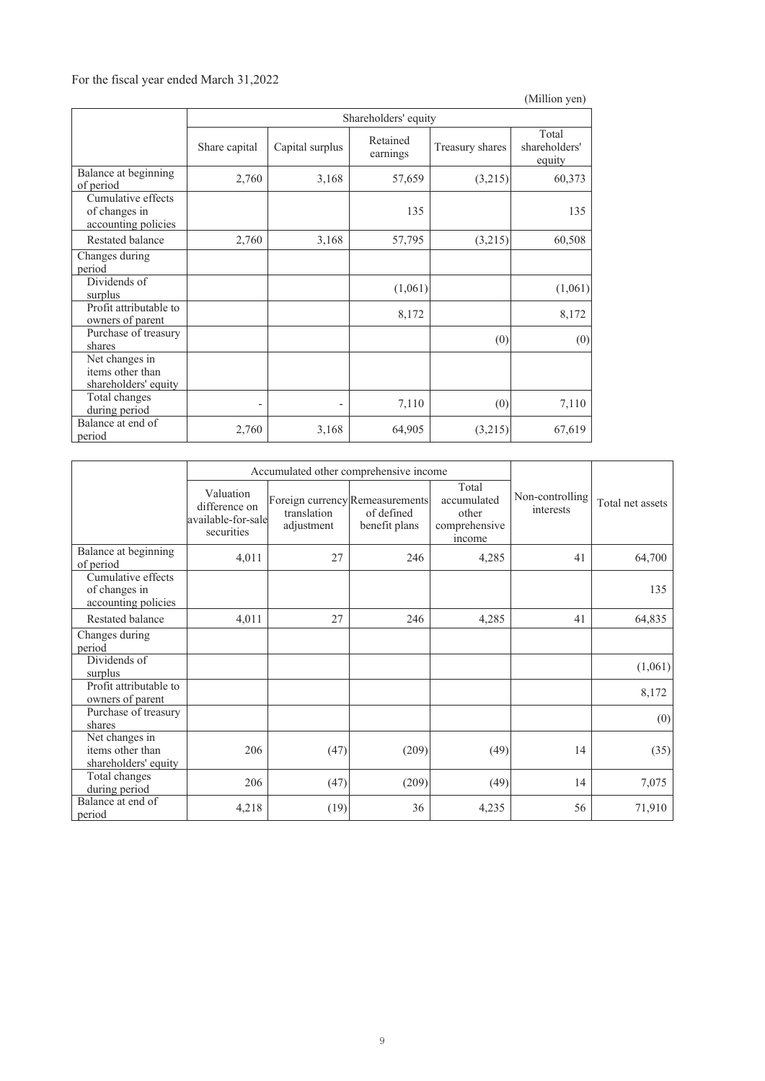### For the fiscal year ended March 31,2022

|                                                            |                          |                      |                      |                 | (Million yen)                    |  |  |
|------------------------------------------------------------|--------------------------|----------------------|----------------------|-----------------|----------------------------------|--|--|
|                                                            |                          | Shareholders' equity |                      |                 |                                  |  |  |
|                                                            | Share capital            | Capital surplus      | Retained<br>earnings | Treasury shares | Total<br>shareholders'<br>equity |  |  |
| Balance at beginning<br>of period                          | 2,760                    | 3,168                | 57,659               | (3,215)         | 60,373                           |  |  |
| Cumulative effects<br>of changes in<br>accounting policies |                          |                      | 135                  |                 | 135                              |  |  |
| Restated balance                                           | 2,760                    | 3,168                | 57,795               | (3,215)         | 60,508                           |  |  |
| Changes during<br>period                                   |                          |                      |                      |                 |                                  |  |  |
| Dividends of<br>surplus                                    |                          |                      | (1,061)              |                 | (1,061)                          |  |  |
| Profit attributable to<br>owners of parent                 |                          |                      | 8,172                |                 | 8,172                            |  |  |
| Purchase of treasury<br>shares                             |                          |                      |                      | (0)             | (0)                              |  |  |
| Net changes in<br>items other than<br>shareholders' equity |                          |                      |                      |                 |                                  |  |  |
| Total changes<br>during period                             | $\overline{\phantom{0}}$ |                      | 7,110                | (0)             | 7,110                            |  |  |
| Balance at end of<br>period                                | 2,760                    | 3,168                | 64,905               | (3,215)         | 67,619                           |  |  |

|                                                            |                                                                | Accumulated other comprehensive income |                                                                |                                                          |                              |                  |
|------------------------------------------------------------|----------------------------------------------------------------|----------------------------------------|----------------------------------------------------------------|----------------------------------------------------------|------------------------------|------------------|
|                                                            | Valuation<br>difference on<br>available-for-sale<br>securities | translation<br>adjustment              | Foreign currency Remeasurements<br>of defined<br>benefit plans | Total<br>accumulated<br>other<br>comprehensive<br>income | Non-controlling<br>interests | Total net assets |
| Balance at beginning<br>of period                          | 4,011                                                          | 27                                     | 246                                                            | 4,285                                                    | 41                           | 64,700           |
| Cumulative effects<br>of changes in<br>accounting policies |                                                                |                                        |                                                                |                                                          |                              | 135              |
| Restated balance                                           | 4,011                                                          | 27                                     | 246                                                            | 4,285                                                    | 41                           | 64,835           |
| Changes during<br>period                                   |                                                                |                                        |                                                                |                                                          |                              |                  |
| Dividends of<br>surplus                                    |                                                                |                                        |                                                                |                                                          |                              | (1,061)          |
| Profit attributable to<br>owners of parent                 |                                                                |                                        |                                                                |                                                          |                              | 8,172            |
| Purchase of treasury<br>shares                             |                                                                |                                        |                                                                |                                                          |                              | (0)              |
| Net changes in<br>items other than<br>shareholders' equity | 206                                                            | (47)                                   | (209)                                                          | (49)                                                     | 14                           | (35)             |
| Total changes<br>during period                             | 206                                                            | (47)                                   | (209)                                                          | (49)                                                     | 14                           | 7,075            |
| Balance at end of<br>period                                | 4,218                                                          | (19)                                   | 36                                                             | 4,235                                                    | 56                           | 71,910           |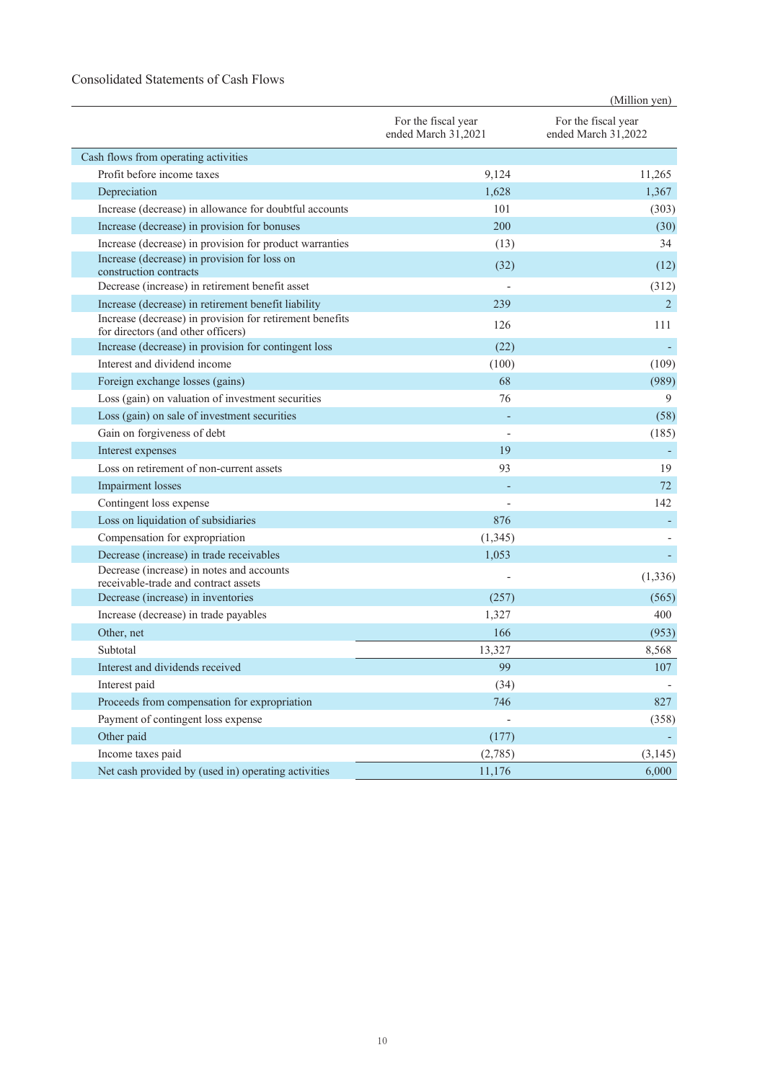#### Consolidated Statements of Cash Flows

|                                                                                                                 |                                            | (Million yen)                              |
|-----------------------------------------------------------------------------------------------------------------|--------------------------------------------|--------------------------------------------|
|                                                                                                                 | For the fiscal year<br>ended March 31,2021 | For the fiscal year<br>ended March 31,2022 |
| Cash flows from operating activities                                                                            |                                            |                                            |
| Profit before income taxes                                                                                      | 9,124                                      | 11,265                                     |
| Depreciation                                                                                                    | 1,628                                      | 1,367                                      |
| Increase (decrease) in allowance for doubtful accounts                                                          | 101                                        | (303)                                      |
| Increase (decrease) in provision for bonuses                                                                    | 200                                        | (30)                                       |
| Increase (decrease) in provision for product warranties                                                         | (13)                                       | 34                                         |
| Increase (decrease) in provision for loss on                                                                    | (32)                                       | (12)                                       |
| construction contracts                                                                                          |                                            |                                            |
| Decrease (increase) in retirement benefit asset                                                                 |                                            | (312)                                      |
| Increase (decrease) in retirement benefit liability<br>Increase (decrease) in provision for retirement benefits | 239                                        | 2                                          |
| for directors (and other officers)                                                                              | 126                                        | 111                                        |
| Increase (decrease) in provision for contingent loss                                                            | (22)                                       |                                            |
| Interest and dividend income                                                                                    | (100)                                      | (109)                                      |
| Foreign exchange losses (gains)                                                                                 | 68                                         | (989)                                      |
| Loss (gain) on valuation of investment securities                                                               | 76                                         | 9                                          |
| Loss (gain) on sale of investment securities                                                                    |                                            | (58)                                       |
| Gain on forgiveness of debt                                                                                     |                                            | (185)                                      |
| Interest expenses                                                                                               | 19                                         |                                            |
| Loss on retirement of non-current assets                                                                        | 93                                         | 19                                         |
| <b>Impairment</b> losses                                                                                        |                                            | 72                                         |
| Contingent loss expense                                                                                         |                                            | 142                                        |
| Loss on liquidation of subsidiaries                                                                             | 876                                        |                                            |
| Compensation for expropriation                                                                                  | (1, 345)                                   |                                            |
| Decrease (increase) in trade receivables                                                                        | 1,053                                      |                                            |
| Decrease (increase) in notes and accounts<br>receivable-trade and contract assets                               |                                            | (1, 336)                                   |
| Decrease (increase) in inventories                                                                              | (257)                                      | (565)                                      |
| Increase (decrease) in trade payables                                                                           | 1,327                                      | 400                                        |
| Other, net                                                                                                      | 166                                        | (953)                                      |
| Subtotal                                                                                                        | 13,327                                     | 8,568                                      |
| Interest and dividends received                                                                                 | 99                                         | $107\,$                                    |
| Interest paid                                                                                                   | (34)                                       |                                            |
| Proceeds from compensation for expropriation                                                                    | 746                                        | 827                                        |
| Payment of contingent loss expense                                                                              |                                            | (358)                                      |
| Other paid                                                                                                      | (177)                                      |                                            |
| Income taxes paid                                                                                               | (2,785)                                    | (3, 145)                                   |
| Net cash provided by (used in) operating activities                                                             | 11,176                                     | 6,000                                      |